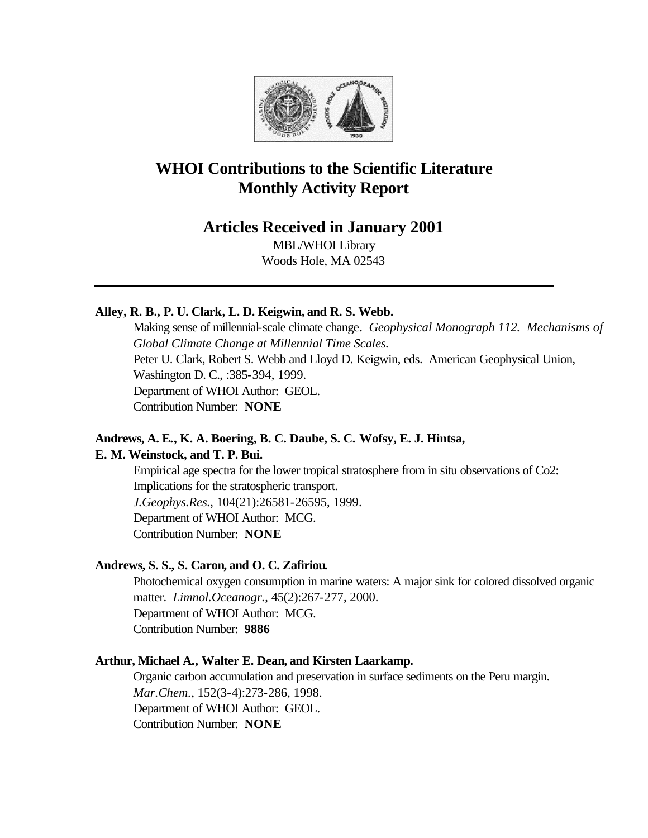

# **WHOI Contributions to the Scientific Literature Monthly Activity Report**

# **Articles Received in January 2001**

MBL/WHOI Library Woods Hole, MA 02543

# **Alley, R. B., P. U. Clark, L. D. Keigwin, and R. S. Webb.**

Making sense of millennial-scale climate change. *Geophysical Monograph 112. Mechanisms of Global Climate Change at Millennial Time Scales.*  Peter U. Clark, Robert S. Webb and Lloyd D. Keigwin, eds. American Geophysical Union, Washington D. C., :385-394, 1999. Department of WHOI Author: GEOL. Contribution Number: **NONE**

# **Andrews, A. E., K. A. Boering, B. C. Daube, S. C. Wofsy, E. J. Hintsa,**

### **E. M. Weinstock, and T. P. Bui.**

Empirical age spectra for the lower tropical stratosphere from in situ observations of Co2: Implications for the stratospheric transport. *J.Geophys.Res.*, 104(21):26581-26595, 1999. Department of WHOI Author: MCG. Contribution Number: **NONE**

### **Andrews, S. S., S. Caron, and O. C. Zafiriou.**

Photochemical oxygen consumption in marine waters: A major sink for colored dissolved organic matter. *Limnol.Oceanogr.*, 45(2):267-277, 2000. Department of WHOI Author: MCG. Contribution Number: **9886**

### **Arthur, Michael A., Walter E. Dean, and Kirsten Laarkamp.**

Organic carbon accumulation and preservation in surface sediments on the Peru margin. *Mar.Chem.*, 152(3-4):273-286, 1998. Department of WHOI Author: GEOL. Contribution Number: **NONE**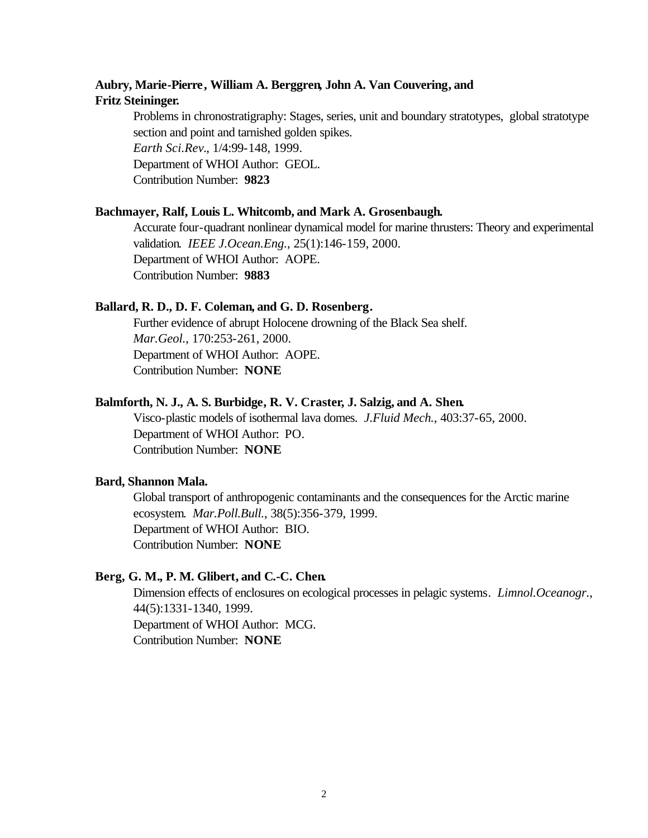# **Aubry, Marie-Pierre, William A. Berggren, John A. Van Couvering, and Fritz Steininger.**

Problems in chronostratigraphy: Stages, series, unit and boundary stratotypes, global stratotype section and point and tarnished golden spikes. *Earth Sci.Rev.*, 1/4:99-148, 1999. Department of WHOI Author: GEOL. Contribution Number: **9823**

### **Bachmayer, Ralf, Louis L. Whitcomb, and Mark A. Grosenbaugh.**

Accurate four-quadrant nonlinear dynamical model for marine thrusters: Theory and experimental validation. *IEEE J.Ocean.Eng.*, 25(1):146-159, 2000. Department of WHOI Author: AOPE. Contribution Number: **9883**

#### **Ballard, R. D., D. F. Coleman, and G. D. Rosenberg.**

Further evidence of abrupt Holocene drowning of the Black Sea shelf. *Mar.Geol.*, 170:253-261, 2000. Department of WHOI Author: AOPE. Contribution Number: **NONE**

### **Balmforth, N. J., A. S. Burbidge, R. V. Craster, J. Salzig, and A. Shen.**

Visco-plastic models of isothermal lava domes. *J.Fluid Mech.*, 403:37-65, 2000. Department of WHOI Author: PO. Contribution Number: **NONE**

### **Bard, Shannon Mala.**

Global transport of anthropogenic contaminants and the consequences for the Arctic marine ecosystem. *Mar.Poll.Bull.*, 38(5):356-379, 1999. Department of WHOI Author: BIO. Contribution Number: **NONE**

### **Berg, G. M., P. M. Glibert, and C.-C. Chen.**

Dimension effects of enclosures on ecological processes in pelagic systems. *Limnol.Oceanogr.*, 44(5):1331-1340, 1999. Department of WHOI Author: MCG. Contribution Number: **NONE**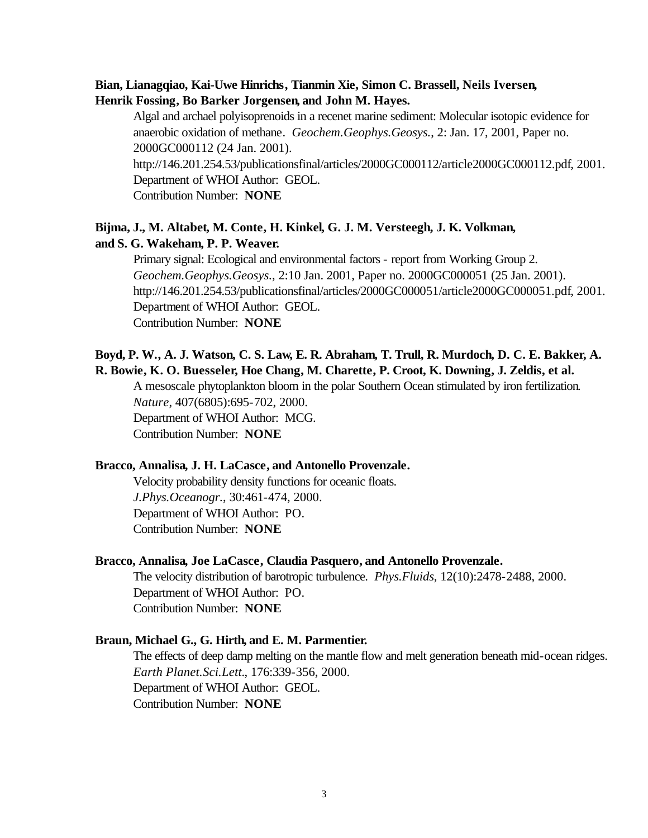## **Bian, Lianagqiao, Kai-Uwe Hinrichs, Tianmin Xie, Simon C. Brassell, Neils Iversen, Henrik Fossing, Bo Barker Jorgensen, and John M. Hayes.**

Algal and archael polyisoprenoids in a recenet marine sediment: Molecular isotopic evidence for anaerobic oxidation of methane. *Geochem.Geophys.Geosys.*, 2: Jan. 17, 2001, Paper no. 2000GC000112 (24 Jan. 2001). http://146.201.254.53/publicationsfinal/articles/2000GC000112/article2000GC000112.pdf, 2001. Department of WHOI Author: GEOL. Contribution Number: **NONE**

# **Bijma, J., M. Altabet, M. Conte, H. Kinkel, G. J. M. Versteegh, J. K. Volkman, and S. G. Wakeham, P. P. Weaver.**

Primary signal: Ecological and environmental factors - report from Working Group 2. *Geochem.Geophys.Geosys.*, 2:10 Jan. 2001, Paper no. 2000GC000051 (25 Jan. 2001). http://146.201.254.53/publicationsfinal/articles/2000GC000051/article2000GC000051.pdf, 2001. Department of WHOI Author: GEOL. Contribution Number: **NONE**

# **Boyd, P. W., A. J. Watson, C. S. Law, E. R. Abraham, T. Trull, R. Murdoch, D. C. E. Bakker, A. R. Bowie, K. O. Buesseler, Hoe Chang, M. Charette, P. Croot, K. Downing, J. Zeldis, et al.**

A mesoscale phytoplankton bloom in the polar Southern Ocean stimulated by iron fertilization. *Nature*, 407(6805):695-702, 2000. Department of WHOI Author: MCG.

Contribution Number: **NONE**

### **Bracco, Annalisa, J. H. LaCasce, and Antonello Provenzale.**

Velocity probability density functions for oceanic floats. *J.Phys.Oceanogr.*, 30:461-474, 2000. Department of WHOI Author: PO. Contribution Number: **NONE**

#### **Bracco, Annalisa, Joe LaCasce, Claudia Pasquero, and Antonello Provenzale.**

The velocity distribution of barotropic turbulence. *Phys.Fluids*, 12(10):2478-2488, 2000. Department of WHOI Author: PO. Contribution Number: **NONE**

### **Braun, Michael G., G. Hirth, and E. M. Parmentier.**

The effects of deep damp melting on the mantle flow and melt generation beneath mid-ocean ridges. *Earth Planet.Sci.Lett.*, 176:339-356, 2000. Department of WHOI Author: GEOL. Contribution Number: **NONE**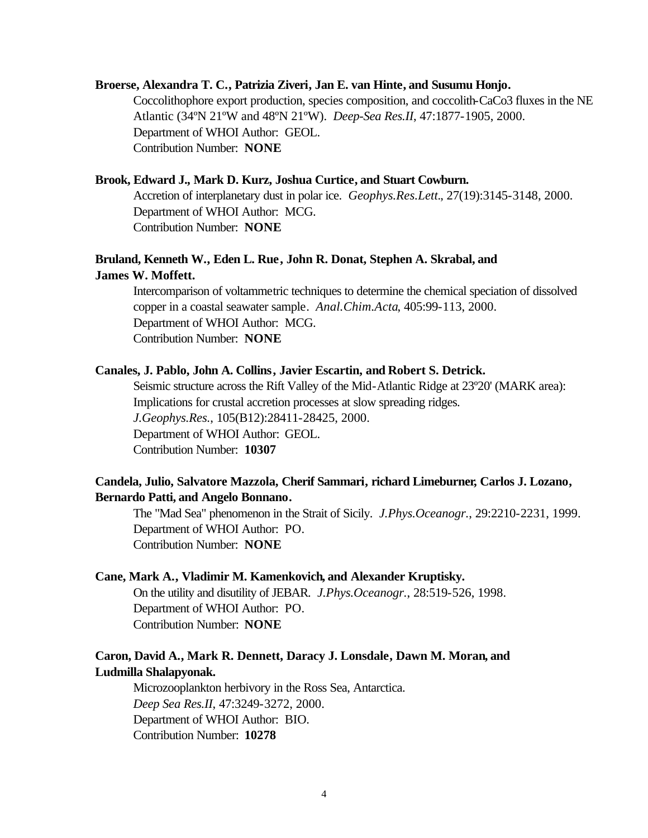### **Broerse, Alexandra T. C., Patrizia Ziveri, Jan E. van Hinte, and Susumu Honjo.**

Coccolithophore export production, species composition, and coccolith-CaCo3 fluxes in the NE Atlantic (34ºN 21ºW and 48ºN 21ºW). *Deep-Sea Res.II*, 47:1877-1905, 2000. Department of WHOI Author: GEOL. Contribution Number: **NONE**

### **Brook, Edward J., Mark D. Kurz, Joshua Curtice, and Stuart Cowburn.**

Accretion of interplanetary dust in polar ice. *Geophys.Res.Lett.*, 27(19):3145-3148, 2000. Department of WHOI Author: MCG. Contribution Number: **NONE**

# **Bruland, Kenneth W., Eden L. Rue, John R. Donat, Stephen A. Skrabal, and James W. Moffett.**

Intercomparison of voltammetric techniques to determine the chemical speciation of dissolved copper in a coastal seawater sample. *Anal.Chim.Acta*, 405:99-113, 2000. Department of WHOI Author: MCG. Contribution Number: **NONE**

### **Canales, J. Pablo, John A. Collins, Javier Escartin, and Robert S. Detrick.**

Seismic structure across the Rift Valley of the Mid-Atlantic Ridge at 23º20' (MARK area): Implications for crustal accretion processes at slow spreading ridges. *J.Geophys.Res.*, 105(B12):28411-28425, 2000. Department of WHOI Author: GEOL. Contribution Number: **10307**

### **Candela, Julio, Salvatore Mazzola, Cherif Sammari, richard Limeburner, Carlos J. Lozano, Bernardo Patti, and Angelo Bonnano.**

The "Mad Sea" phenomenon in the Strait of Sicily. *J.Phys.Oceanogr.*, 29:2210-2231, 1999. Department of WHOI Author: PO. Contribution Number: **NONE**

### **Cane, Mark A., Vladimir M. Kamenkovich, and Alexander Kruptisky.**

On the utility and disutility of JEBAR. *J.Phys.Oceanogr.*, 28:519-526, 1998. Department of WHOI Author: PO. Contribution Number: **NONE**

### **Caron, David A., Mark R. Dennett, Daracy J. Lonsdale, Dawn M. Moran, and Ludmilla Shalapyonak.**

Microzooplankton herbivory in the Ross Sea, Antarctica. *Deep Sea Res.II*, 47:3249-3272, 2000. Department of WHOI Author: BIO. Contribution Number: **10278**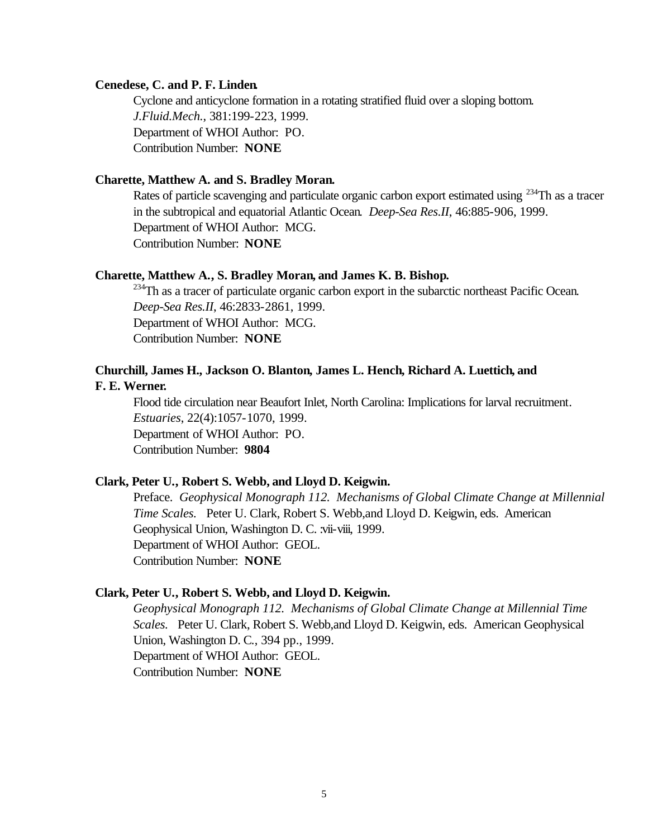### **Cenedese, C. and P. F. Linden.**

Cyclone and anticyclone formation in a rotating stratified fluid over a sloping bottom. *J.Fluid.Mech.*, 381:199-223, 1999. Department of WHOI Author: PO. Contribution Number: **NONE**

### **Charette, Matthew A. and S. Bradley Moran.**

Rates of particle scavenging and particulate organic carbon export estimated using <sup>234</sup>Th as a tracer in the subtropical and equatorial Atlantic Ocean. *Deep-Sea Res.II*, 46:885-906, 1999. Department of WHOI Author: MCG. Contribution Number: **NONE**

### **Charette, Matthew A., S. Bradley Moran, and James K. B. Bishop.**

<sup>234</sup>Th as a tracer of particulate organic carbon export in the subarctic northeast Pacific Ocean. *Deep-Sea Res.II*, 46:2833-2861, 1999. Department of WHOI Author: MCG. Contribution Number: **NONE**

# **Churchill, James H., Jackson O. Blanton, James L. Hench, Richard A. Luettich, and**

# **F. E. Werner.**

Flood tide circulation near Beaufort Inlet, North Carolina: Implications for larval recruitment. *Estuaries*, 22(4):1057-1070, 1999. Department of WHOI Author: PO. Contribution Number: **9804**

### **Clark, Peter U., Robert S. Webb, and Lloyd D. Keigwin.**

Preface. *Geophysical Monograph 112. Mechanisms of Global Climate Change at Millennial Time Scales.* Peter U. Clark, Robert S. Webb,and Lloyd D. Keigwin, eds. American Geophysical Union, Washington D. C. :vii-viii, 1999. Department of WHOI Author: GEOL. Contribution Number: **NONE**

### **Clark, Peter U., Robert S. Webb, and Lloyd D. Keigwin.**

*Geophysical Monograph 112. Mechanisms of Global Climate Change at Millennial Time Scales.* Peter U. Clark, Robert S. Webb,and Lloyd D. Keigwin, eds. American Geophysical Union, Washington D. C*.*, 394 pp., 1999. Department of WHOI Author: GEOL. Contribution Number: **NONE**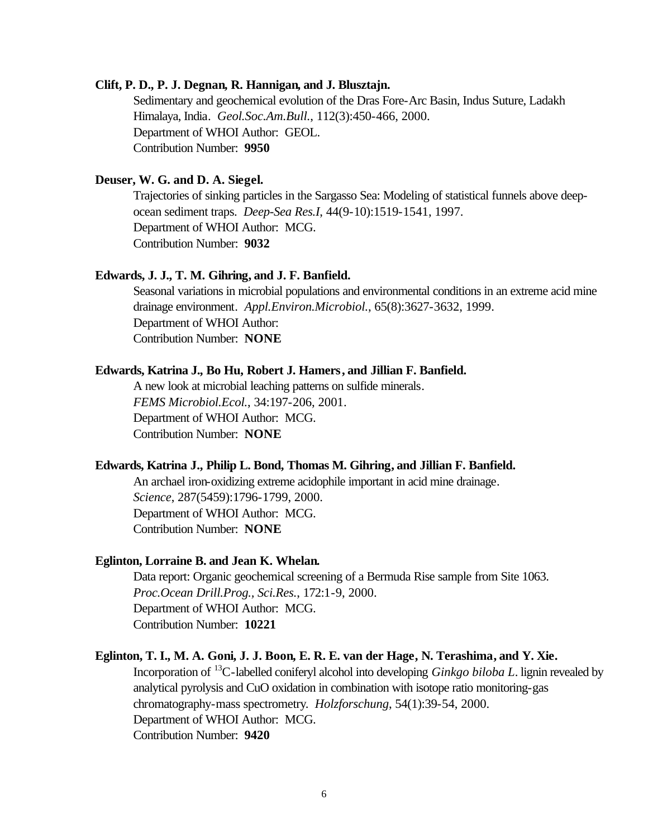### **Clift, P. D., P. J. Degnan, R. Hannigan, and J. Blusztajn.**

Sedimentary and geochemical evolution of the Dras Fore-Arc Basin, Indus Suture, Ladakh Himalaya, India. *Geol.Soc.Am.Bull.*, 112(3):450-466, 2000. Department of WHOI Author: GEOL. Contribution Number: **9950**

### **Deuser, W. G. and D. A. Siegel.**

Trajectories of sinking particles in the Sargasso Sea: Modeling of statistical funnels above deepocean sediment traps. *Deep-Sea Res.I*, 44(9-10):1519-1541, 1997. Department of WHOI Author: MCG. Contribution Number: **9032**

### **Edwards, J. J., T. M. Gihring, and J. F. Banfield.**

Seasonal variations in microbial populations and environmental conditions in an extreme acid mine drainage environment. *Appl.Environ.Microbiol.*, 65(8):3627-3632, 1999. Department of WHOI Author: Contribution Number: **NONE**

### **Edwards, Katrina J., Bo Hu, Robert J. Hamers, and Jillian F. Banfield.**

A new look at microbial leaching patterns on sulfide minerals. *FEMS Microbiol.Ecol.*, 34:197-206, 2001. Department of WHOI Author: MCG. Contribution Number: **NONE**

#### **Edwards, Katrina J., Philip L. Bond, Thomas M. Gihring, and Jillian F. Banfield.**

An archael iron-oxidizing extreme acidophile important in acid mine drainage. *Science*, 287(5459):1796-1799, 2000. Department of WHOI Author: MCG. Contribution Number: **NONE**

### **Eglinton, Lorraine B. and Jean K. Whelan.**

Data report: Organic geochemical screening of a Bermuda Rise sample from Site 1063. *Proc.Ocean Drill.Prog., Sci.Res.*, 172:1-9, 2000. Department of WHOI Author: MCG. Contribution Number: **10221**

#### **Eglinton, T. I., M. A. Goni, J. J. Boon, E. R. E. van der Hage, N. Terashima, and Y. Xie.**

Incorporation of <sup>13</sup>C-labelled coniferyl alcohol into developing *Ginkgo biloba L*. lignin revealed by analytical pyrolysis and CuO oxidation in combination with isotope ratio monitoring-gas chromatography-mass spectrometry. *Holzforschung*, 54(1):39-54, 2000. Department of WHOI Author: MCG. Contribution Number: **9420**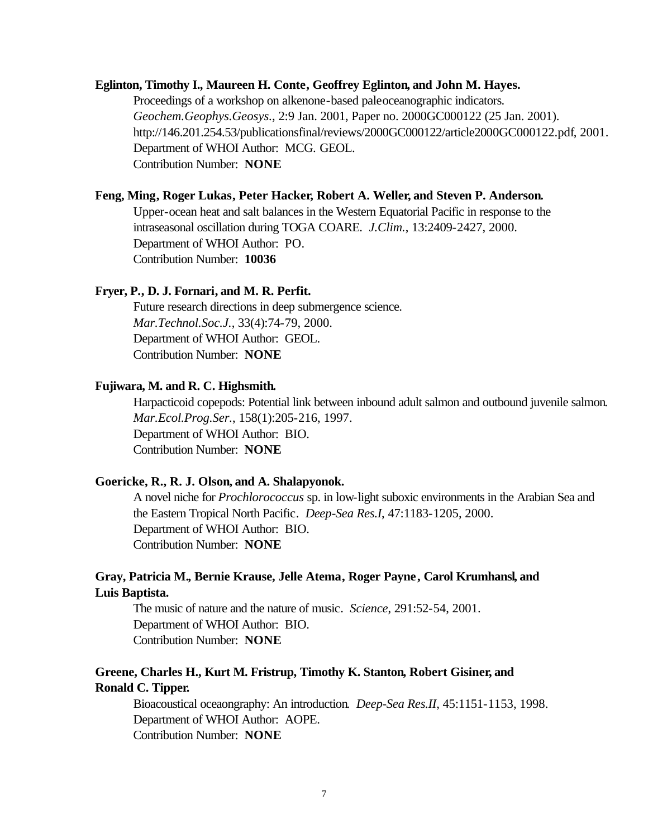### **Eglinton, Timothy I., Maureen H. Conte, Geoffrey Eglinton, and John M. Hayes.**

Proceedings of a workshop on alkenone-based paleoceanographic indicators. *Geochem.Geophys.Geosys.*, 2:9 Jan. 2001, Paper no. 2000GC000122 (25 Jan. 2001). http://146.201.254.53/publicationsfinal/reviews/2000GC000122/article2000GC000122.pdf, 2001. Department of WHOI Author: MCG. GEOL. Contribution Number: **NONE**

#### **Feng, Ming, Roger Lukas, Peter Hacker, Robert A. Weller, and Steven P. Anderson.**

Upper-ocean heat and salt balances in the Western Equatorial Pacific in response to the intraseasonal oscillation during TOGA COARE. *J.Clim.*, 13:2409-2427, 2000. Department of WHOI Author: PO. Contribution Number: **10036**

#### **Fryer, P., D. J. Fornari, and M. R. Perfit.**

Future research directions in deep submergence science. *Mar.Technol.Soc.J.*, 33(4):74-79, 2000. Department of WHOI Author: GEOL. Contribution Number: **NONE**

### **Fujiwara, M. and R. C. Highsmith.**

Harpacticoid copepods: Potential link between inbound adult salmon and outbound juvenile salmon. *Mar.Ecol.Prog.Ser.*, 158(1):205-216, 1997. Department of WHOI Author: BIO. Contribution Number: **NONE**

#### **Goericke, R., R. J. Olson, and A. Shalapyonok.**

A novel niche for *Prochlorococcus* sp. in low-light suboxic environments in the Arabian Sea and the Eastern Tropical North Pacific. *Deep-Sea Res.I*, 47:1183-1205, 2000. Department of WHOI Author: BIO. Contribution Number: **NONE**

# **Gray, Patricia M., Bernie Krause, Jelle Atema, Roger Payne, Carol Krumhansl, and Luis Baptista.**

The music of nature and the nature of music. *Science*, 291:52-54, 2001. Department of WHOI Author: BIO. Contribution Number: **NONE**

# **Greene, Charles H., Kurt M. Fristrup, Timothy K. Stanton, Robert Gisiner, and Ronald C. Tipper.**

Bioacoustical oceaongraphy: An introduction. *Deep-Sea Res.II*, 45:1151-1153, 1998. Department of WHOI Author: AOPE. Contribution Number: **NONE**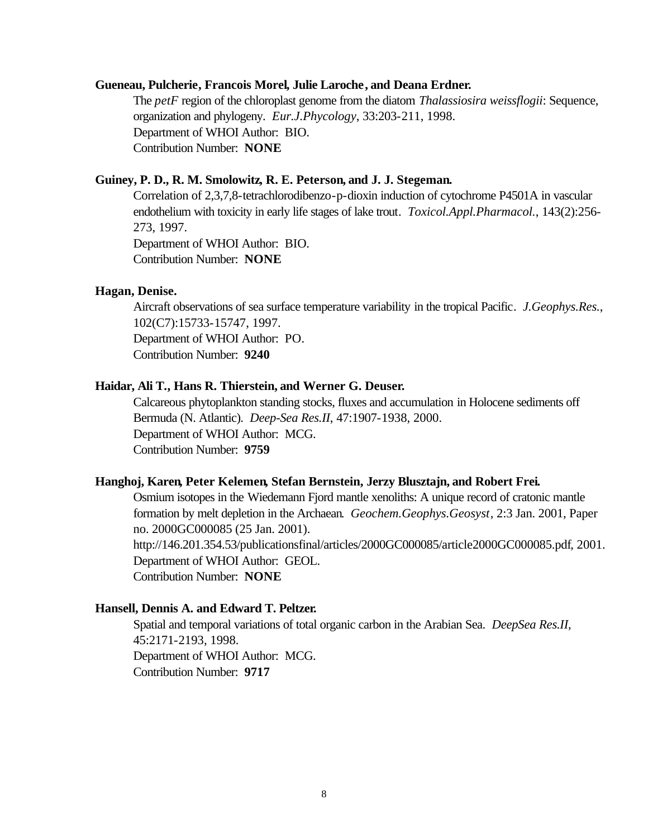### **Gueneau, Pulcherie, Francois Morel, Julie Laroche, and Deana Erdner.**

The *petF* region of the chloroplast genome from the diatom *Thalassiosira weissflogii*: Sequence, organization and phylogeny. *Eur.J.Phycology*, 33:203-211, 1998. Department of WHOI Author: BIO. Contribution Number: **NONE**

### **Guiney, P. D., R. M. Smolowitz, R. E. Peterson, and J. J. Stegeman.**

Correlation of 2,3,7,8-tetrachlorodibenzo-p-dioxin induction of cytochrome P4501A in vascular endothelium with toxicity in early life stages of lake trout. *Toxicol.Appl.Pharmacol.*, 143(2):256- 273, 1997.

Department of WHOI Author: BIO. Contribution Number: **NONE**

#### **Hagan, Denise.**

Aircraft observations of sea surface temperature variability in the tropical Pacific. *J.Geophys.Res.*, 102(C7):15733-15747, 1997.

Department of WHOI Author: PO. Contribution Number: **9240**

#### **Haidar, Ali T., Hans R. Thierstein, and Werner G. Deuser.**

Calcareous phytoplankton standing stocks, fluxes and accumulation in Holocene sediments off Bermuda (N. Atlantic). *Deep-Sea Res.II*, 47:1907-1938, 2000. Department of WHOI Author: MCG. Contribution Number: **9759**

#### **Hanghoj, Karen, Peter Kelemen, Stefan Bernstein, Jerzy Blusztajn, and Robert Frei.**

Osmium isotopes in the Wiedemann Fjord mantle xenoliths: A unique record of cratonic mantle formation by melt depletion in the Archaean. *Geochem.Geophys.Geosyst*, 2:3 Jan. 2001, Paper no. 2000GC000085 (25 Jan. 2001).

http://146.201.354.53/publicationsfinal/articles/2000GC000085/article2000GC000085.pdf, 2001. Department of WHOI Author: GEOL. Contribution Number: **NONE**

#### **Hansell, Dennis A. and Edward T. Peltzer.**

Spatial and temporal variations of total organic carbon in the Arabian Sea. *DeepSea Res.II*, 45:2171-2193, 1998. Department of WHOI Author: MCG. Contribution Number: **9717**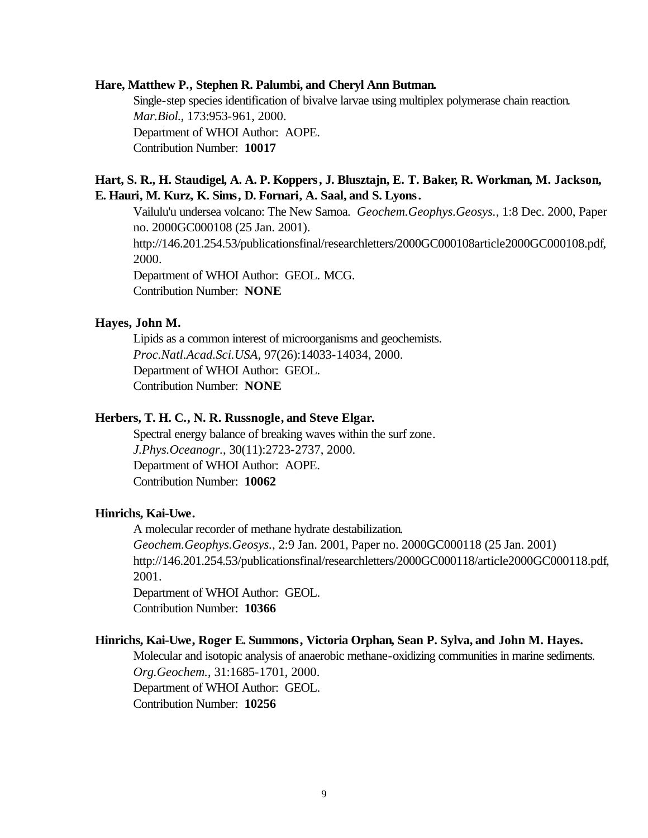#### **Hare, Matthew P., Stephen R. Palumbi, and Cheryl Ann Butman.**

Single-step species identification of bivalve larvae using multiplex polymerase chain reaction. *Mar.Biol.*, 173:953-961, 2000. Department of WHOI Author: AOPE. Contribution Number: **10017**

## **Hart, S. R., H. Staudigel, A. A. P. Koppers, J. Blusztajn, E. T. Baker, R. Workman, M. Jackson, E. Hauri, M. Kurz, K. Sims, D. Fornari, A. Saal, and S. Lyons.**

Vailulu'u undersea volcano: The New Samoa. *Geochem.Geophys.Geosys.*, 1:8 Dec. 2000, Paper no. 2000GC000108 (25 Jan. 2001). http://146.201.254.53/publicationsfinal/researchletters/2000GC000108article2000GC000108.pdf, 2000. Department of WHOI Author: GEOL. MCG.

Contribution Number: **NONE**

### **Hayes, John M.**

Lipids as a common interest of microorganisms and geochemists. *Proc.Natl.Acad.Sci.USA*, 97(26):14033-14034, 2000. Department of WHOI Author: GEOL. Contribution Number: **NONE**

## **Herbers, T. H. C., N. R. Russnogle, and Steve Elgar.**

Spectral energy balance of breaking waves within the surf zone. *J.Phys.Oceanogr.*, 30(11):2723-2737, 2000. Department of WHOI Author: AOPE. Contribution Number: **10062**

### **Hinrichs, Kai-Uwe.**

A molecular recorder of methane hydrate destabilization.

*Geochem.Geophys.Geosys.*, 2:9 Jan. 2001, Paper no. 2000GC000118 (25 Jan. 2001) http://146.201.254.53/publicationsfinal/researchletters/2000GC000118/article2000GC000118.pdf, 2001.

Department of WHOI Author: GEOL. Contribution Number: **10366**

#### **Hinrichs, Kai-Uwe, Roger E. Summons, Victoria Orphan, Sean P. Sylva, and John M. Hayes.**

Molecular and isotopic analysis of anaerobic methane-oxidizing communities in marine sediments. *Org.Geochem.*, 31:1685-1701, 2000. Department of WHOI Author: GEOL. Contribution Number: **10256**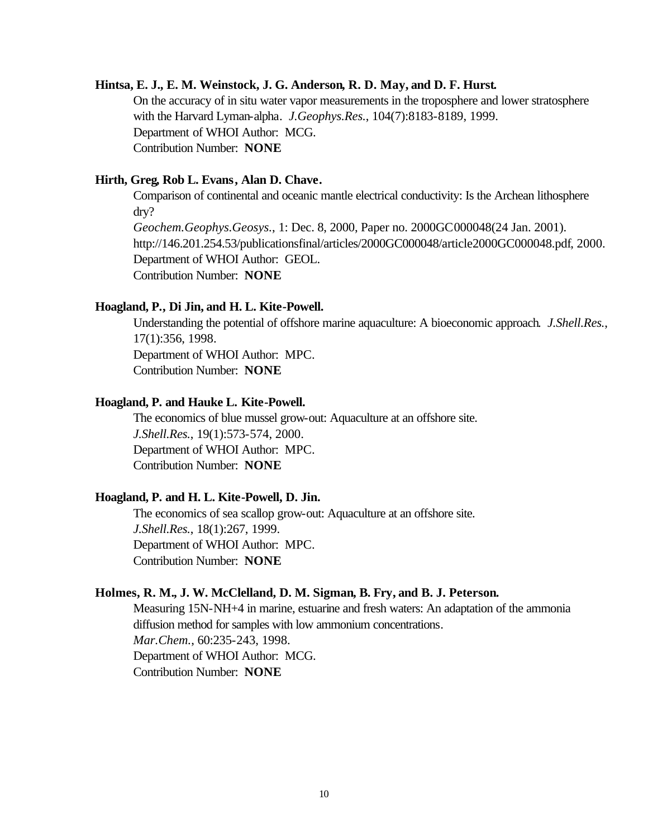### **Hintsa, E. J., E. M. Weinstock, J. G. Anderson, R. D. May, and D. F. Hurst.**

On the accuracy of in situ water vapor measurements in the troposphere and lower stratosphere with the Harvard Lyman-alpha. *J.Geophys.Res.*, 104(7):8183-8189, 1999. Department of WHOI Author: MCG. Contribution Number: **NONE**

### **Hirth, Greg, Rob L. Evans, Alan D. Chave.**

Comparison of continental and oceanic mantle electrical conductivity: Is the Archean lithosphere dry? *Geochem.Geophys.Geosys.*, 1: Dec. 8, 2000, Paper no. 2000GC000048(24 Jan. 2001). http://146.201.254.53/publicationsfinal/articles/2000GC000048/article2000GC000048.pdf, 2000. Department of WHOI Author: GEOL. Contribution Number: **NONE**

#### **Hoagland, P., Di Jin, and H. L. Kite-Powell.**

Understanding the potential of offshore marine aquaculture: A bioeconomic approach. *J.Shell.Res.*, 17(1):356, 1998. Department of WHOI Author: MPC. Contribution Number: **NONE**

### **Hoagland, P. and Hauke L. Kite-Powell.**

The economics of blue mussel grow-out: Aquaculture at an offshore site. *J.Shell.Res.*, 19(1):573-574, 2000. Department of WHOI Author: MPC. Contribution Number: **NONE**

## **Hoagland, P. and H. L. Kite-Powell, D. Jin.**

The economics of sea scallop grow-out: Aquaculture at an offshore site. *J.Shell.Res.*, 18(1):267, 1999. Department of WHOI Author: MPC. Contribution Number: **NONE**

#### **Holmes, R. M., J. W. McClelland, D. M. Sigman, B. Fry, and B. J. Peterson.**

Measuring 15N-NH+4 in marine, estuarine and fresh waters: An adaptation of the ammonia diffusion method for samples with low ammonium concentrations. *Mar.Chem.*, 60:235-243, 1998. Department of WHOI Author: MCG. Contribution Number: **NONE**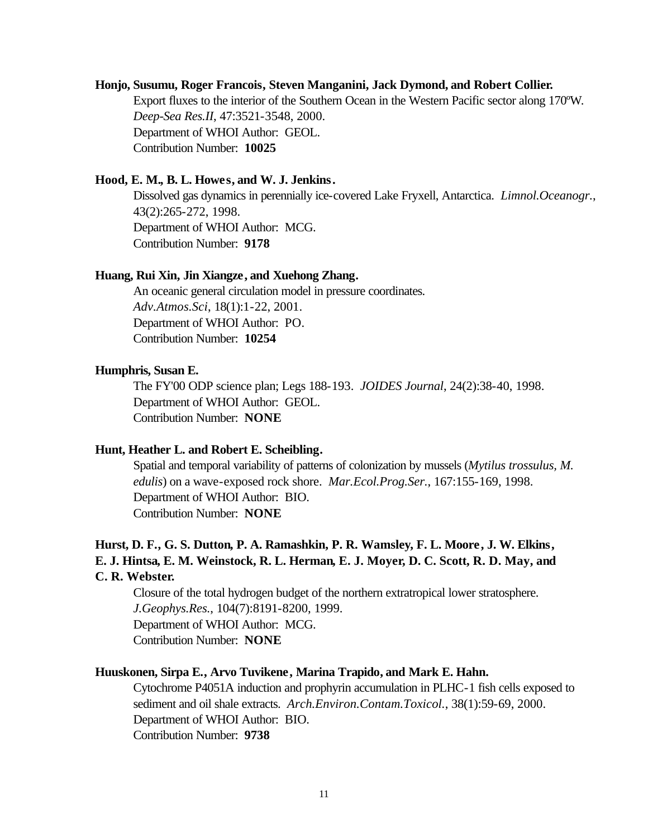### **Honjo, Susumu, Roger Francois, Steven Manganini, Jack Dymond, and Robert Collier.**

Export fluxes to the interior of the Southern Ocean in the Western Pacific sector along 170ºW. *Deep-Sea Res.II*, 47:3521-3548, 2000. Department of WHOI Author: GEOL. Contribution Number: **10025**

### **Hood, E. M., B. L. Howes, and W. J. Jenkins.**

Dissolved gas dynamics in perennially ice-covered Lake Fryxell, Antarctica. *Limnol.Oceanogr.*, 43(2):265-272, 1998. Department of WHOI Author: MCG. Contribution Number: **9178**

### **Huang, Rui Xin, Jin Xiangze, and Xuehong Zhang.**

An oceanic general circulation model in pressure coordinates. *Adv.Atmos.Sci*, 18(1):1-22, 2001. Department of WHOI Author: PO. Contribution Number: **10254**

### **Humphris, Susan E.**

The FY'00 ODP science plan; Legs 188-193. *JOIDES Journal*, 24(2):38-40, 1998. Department of WHOI Author: GEOL. Contribution Number: **NONE**

### **Hunt, Heather L. and Robert E. Scheibling.**

Spatial and temporal variability of patterns of colonization by mussels (*Mytilus trossulus, M. edulis*) on a wave-exposed rock shore. *Mar.Ecol.Prog.Ser.*, 167:155-169, 1998. Department of WHOI Author: BIO. Contribution Number: **NONE**

# **Hurst, D. F., G. S. Dutton, P. A. Ramashkin, P. R. Wamsley, F. L. Moore, J. W. Elkins, E. J. Hintsa, E. M. Weinstock, R. L. Herman, E. J. Moyer, D. C. Scott, R. D. May, and C. R. Webster.**

Closure of the total hydrogen budget of the northern extratropical lower stratosphere. *J.Geophys.Res.*, 104(7):8191-8200, 1999. Department of WHOI Author: MCG. Contribution Number: **NONE**

### **Huuskonen, Sirpa E., Arvo Tuvikene, Marina Trapido, and Mark E. Hahn.**

Cytochrome P4051A induction and prophyrin accumulation in PLHC-1 fish cells exposed to sediment and oil shale extracts. *Arch.Environ.Contam.Toxicol.*, 38(1):59-69, 2000. Department of WHOI Author: BIO. Contribution Number: **9738**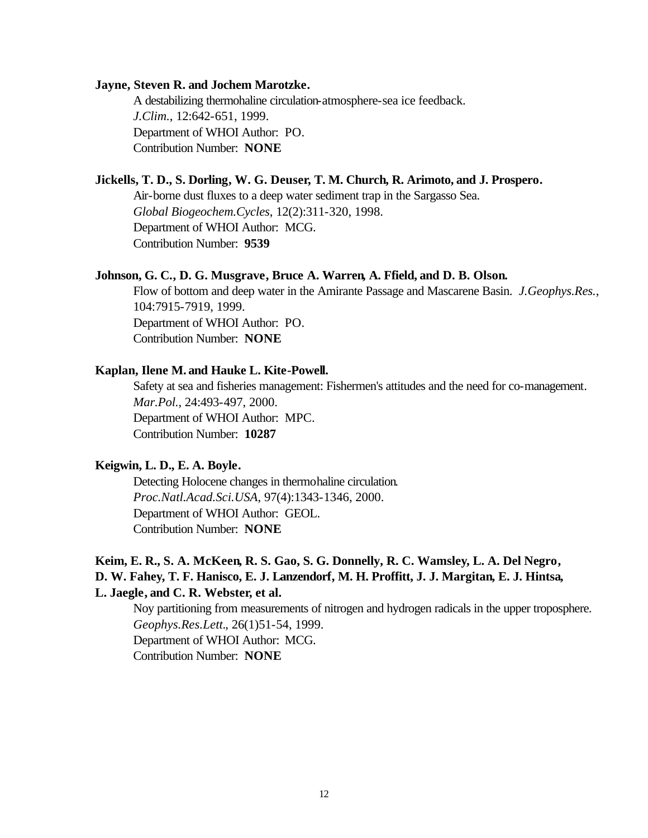### **Jayne, Steven R. and Jochem Marotzke.**

A destabilizing thermohaline circulation-atmosphere-sea ice feedback. *J.Clim.*, 12:642-651, 1999. Department of WHOI Author: PO. Contribution Number: **NONE**

### **Jickells, T. D., S. Dorling, W. G. Deuser, T. M. Church, R. Arimoto, and J. Prospero.**

Air-borne dust fluxes to a deep water sediment trap in the Sargasso Sea. *Global Biogeochem.Cycles*, 12(2):311-320, 1998. Department of WHOI Author: MCG. Contribution Number: **9539**

### **Johnson, G. C., D. G. Musgrave, Bruce A. Warren, A. Ffield, and D. B. Olson.**

Flow of bottom and deep water in the Amirante Passage and Mascarene Basin. *J.Geophys.Res.*, 104:7915-7919, 1999. Department of WHOI Author: PO. Contribution Number: **NONE**

#### **Kaplan, Ilene M. and Hauke L. Kite-Powell.**

Safety at sea and fisheries management: Fishermen's attitudes and the need for co-management. *Mar.Pol.*, 24:493-497, 2000. Department of WHOI Author: MPC. Contribution Number: **10287**

### **Keigwin, L. D., E. A. Boyle.**

Detecting Holocene changes in thermohaline circulation. *Proc.Natl.Acad.Sci.USA*, 97(4):1343-1346, 2000. Department of WHOI Author: GEOL. Contribution Number: **NONE**

# **Keim, E. R., S. A. McKeen, R. S. Gao, S. G. Donnelly, R. C. Wamsley, L. A. Del Negro, D. W. Fahey, T. F. Hanisco, E. J. Lanzendorf, M. H. Proffitt, J. J. Margitan, E. J. Hintsa, L. Jaegle, and C. R. Webster, et al.**

Noy partitioning from measurements of nitrogen and hydrogen radicals in the upper troposphere. *Geophys.Res.Lett.*, 26(1)51-54, 1999. Department of WHOI Author: MCG. Contribution Number: **NONE**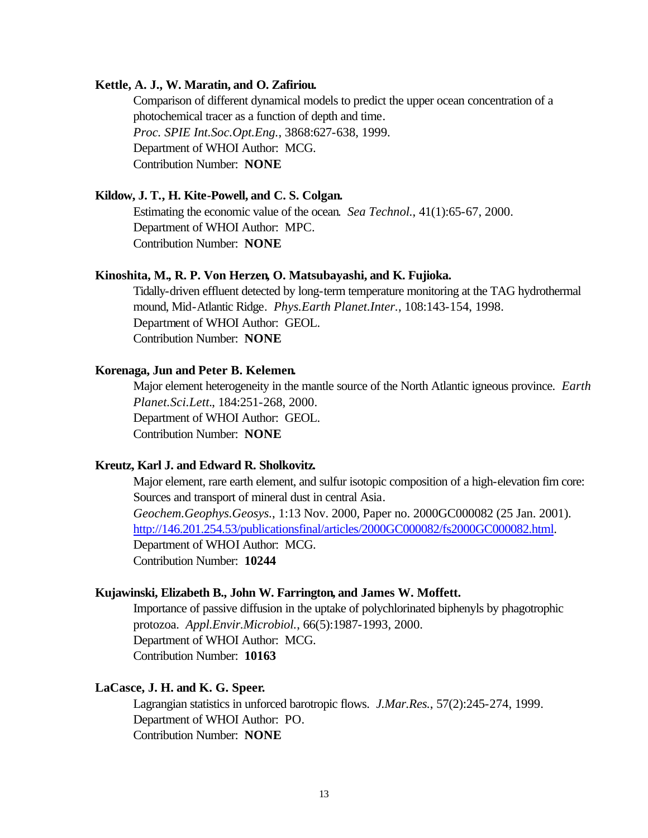### **Kettle, A. J., W. Maratin, and O. Zafiriou.**

Comparison of different dynamical models to predict the upper ocean concentration of a photochemical tracer as a function of depth and time. *Proc. SPIE Int.Soc.Opt.Eng.*, 3868:627-638, 1999. Department of WHOI Author: MCG. Contribution Number: **NONE**

### **Kildow, J. T., H. Kite-Powell, and C. S. Colgan.**

Estimating the economic value of the ocean. *Sea Technol.*, 41(1):65-67, 2000. Department of WHOI Author: MPC. Contribution Number: **NONE**

### **Kinoshita, M., R. P. Von Herzen, O. Matsubayashi, and K. Fujioka.**

Tidally-driven effluent detected by long-term temperature monitoring at the TAG hydrothermal mound, Mid-Atlantic Ridge. *Phys.Earth Planet.Inter.*, 108:143-154, 1998. Department of WHOI Author: GEOL. Contribution Number: **NONE**

#### **Korenaga, Jun and Peter B. Kelemen.**

Major element heterogeneity in the mantle source of the North Atlantic igneous province. *Earth Planet.Sci.Lett.*, 184:251-268, 2000. Department of WHOI Author: GEOL. Contribution Number: **NONE**

### **Kreutz, Karl J. and Edward R. Sholkovitz.**

Major element, rare earth element, and sulfur isotopic composition of a high-elevation firn core: Sources and transport of mineral dust in central Asia. *Geochem.Geophys.Geosys.*, 1:13 Nov. 2000, Paper no. 2000GC000082 (25 Jan. 2001). http://146.201.254.53/publicationsfinal/articles/2000GC000082/fs2000GC000082.html. Department of WHOI Author: MCG. Contribution Number: **10244**

### **Kujawinski, Elizabeth B., John W. Farrington, and James W. Moffett.**

Importance of passive diffusion in the uptake of polychlorinated biphenyls by phagotrophic protozoa. *Appl.Envir.Microbiol.*, 66(5):1987-1993, 2000. Department of WHOI Author: MCG. Contribution Number: **10163**

### **LaCasce, J. H. and K. G. Speer.**

Lagrangian statistics in unforced barotropic flows. *J.Mar.Res.*, 57(2):245-274, 1999. Department of WHOI Author: PO. Contribution Number: **NONE**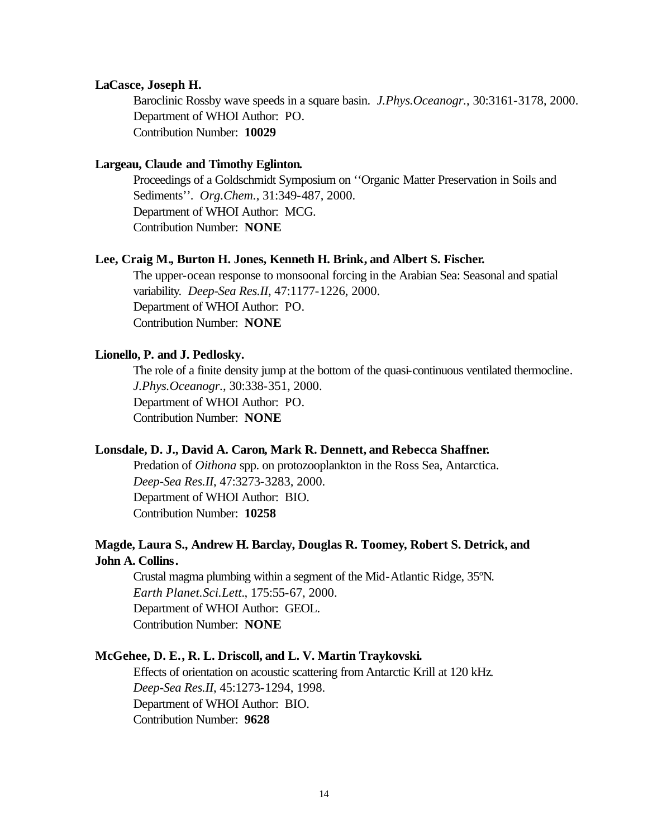### **LaCasce, Joseph H.**

Baroclinic Rossby wave speeds in a square basin. *J.Phys.Oceanogr.*, 30:3161-3178, 2000. Department of WHOI Author: PO. Contribution Number: **10029**

### **Largeau, Claude and Timothy Eglinton.**

Proceedings of a Goldschmidt Symposium on ''Organic Matter Preservation in Soils and Sediments''. *Org.Chem.*, 31:349-487, 2000. Department of WHOI Author: MCG. Contribution Number: **NONE**

### **Lee, Craig M., Burton H. Jones, Kenneth H. Brink, and Albert S. Fischer.**

The upper-ocean response to monsoonal forcing in the Arabian Sea: Seasonal and spatial variability. *Deep-Sea Res.II*, 47:1177-1226, 2000. Department of WHOI Author: PO. Contribution Number: **NONE**

### **Lionello, P. and J. Pedlosky.**

The role of a finite density jump at the bottom of the quasi-continuous ventilated thermocline. *J.Phys.Oceanogr.*, 30:338-351, 2000. Department of WHOI Author: PO. Contribution Number: **NONE**

### **Lonsdale, D. J., David A. Caron, Mark R. Dennett, and Rebecca Shaffner.**

Predation of *Oithona* spp. on protozooplankton in the Ross Sea, Antarctica. *Deep-Sea Res.II*, 47:3273-3283, 2000. Department of WHOI Author: BIO. Contribution Number: **10258**

### **Magde, Laura S., Andrew H. Barclay, Douglas R. Toomey, Robert S. Detrick, and John A. Collins.**

Crustal magma plumbing within a segment of the Mid-Atlantic Ridge, 35ºN. *Earth Planet.Sci.Lett.*, 175:55-67, 2000. Department of WHOI Author: GEOL. Contribution Number: **NONE**

### **McGehee, D. E., R. L. Driscoll, and L. V. Martin Traykovski.**

Effects of orientation on acoustic scattering from Antarctic Krill at 120 kHz. *Deep-Sea Res.II*, 45:1273-1294, 1998. Department of WHOI Author: BIO. Contribution Number: **9628**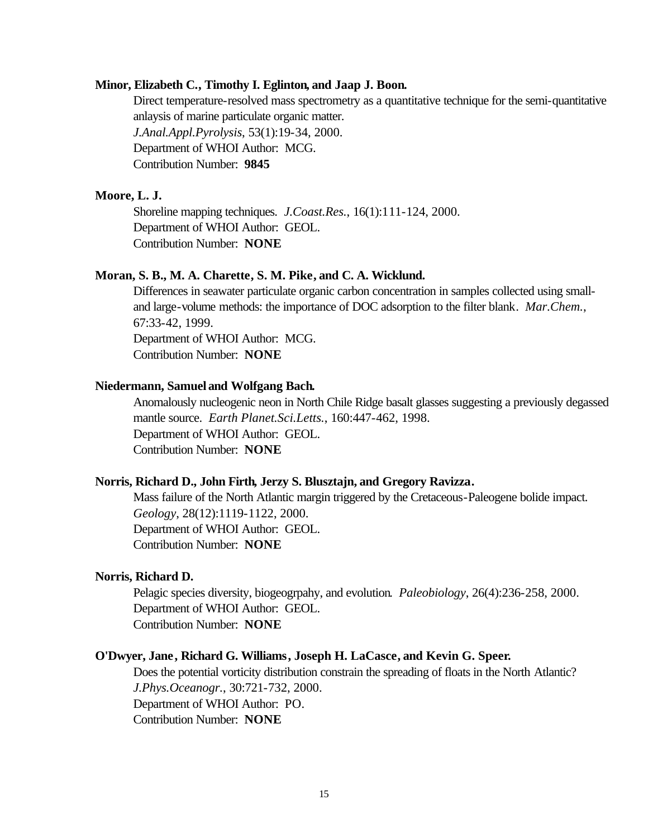### **Minor, Elizabeth C., Timothy I. Eglinton, and Jaap J. Boon.**

Direct temperature-resolved mass spectrometry as a quantitative technique for the semi-quantitative anlaysis of marine particulate organic matter. *J.Anal.Appl.Pyrolysis*, 53(1):19-34, 2000. Department of WHOI Author: MCG. Contribution Number: **9845**

### **Moore, L. J.**

Shoreline mapping techniques. *J.Coast.Res.*, 16(1):111-124, 2000. Department of WHOI Author: GEOL. Contribution Number: **NONE**

### **Moran, S. B., M. A. Charette, S. M. Pike, and C. A. Wicklund.**

Differences in seawater particulate organic carbon concentration in samples collected using smalland large-volume methods: the importance of DOC adsorption to the filter blank. *Mar.Chem.*, 67:33-42, 1999. Department of WHOI Author: MCG.

Contribution Number: **NONE**

### **Niedermann, Samuel and Wolfgang Bach.**

Anomalously nucleogenic neon in North Chile Ridge basalt glasses suggesting a previously degassed mantle source. *Earth Planet.Sci.Letts.*, 160:447-462, 1998. Department of WHOI Author: GEOL. Contribution Number: **NONE**

#### **Norris, Richard D., John Firth, Jerzy S. Blusztajn, and Gregory Ravizza.**

Mass failure of the North Atlantic margin triggered by the Cretaceous-Paleogene bolide impact. *Geology*, 28(12):1119-1122, 2000. Department of WHOI Author: GEOL. Contribution Number: **NONE**

### **Norris, Richard D.**

Pelagic species diversity, biogeogrpahy, and evolution. *Paleobiology*, 26(4):236-258, 2000. Department of WHOI Author: GEOL. Contribution Number: **NONE**

#### **O'Dwyer, Jane, Richard G. Williams, Joseph H. LaCasce, and Kevin G. Speer.**

Does the potential vorticity distribution constrain the spreading of floats in the North Atlantic? *J.Phys.Oceanogr.*, 30:721-732, 2000. Department of WHOI Author: PO. Contribution Number: **NONE**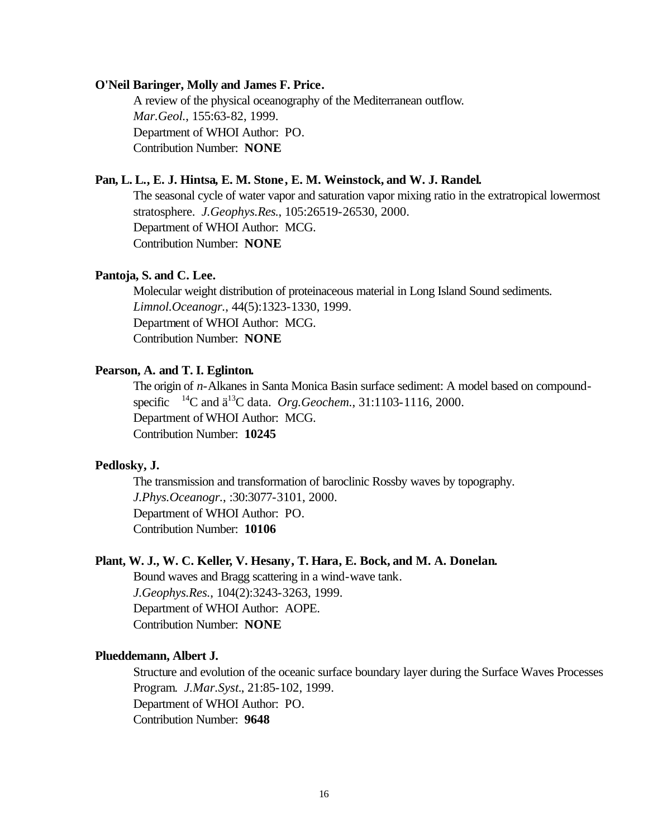#### **O'Neil Baringer, Molly and James F. Price.**

A review of the physical oceanography of the Mediterranean outflow. *Mar.Geol.*, 155:63-82, 1999. Department of WHOI Author: PO. Contribution Number: **NONE**

### **Pan, L. L., E. J. Hintsa, E. M. Stone , E. M. Weinstock, and W. J. Randel.**

The seasonal cycle of water vapor and saturation vapor mixing ratio in the extratropical lowermost stratosphere. *J.Geophys.Res.*, 105:26519-26530, 2000. Department of WHOI Author: MCG. Contribution Number: **NONE**

### **Pantoja, S. and C. Lee.**

Molecular weight distribution of proteinaceous material in Long Island Sound sediments. *Limnol.Oceanogr.*, 44(5):1323-1330, 1999. Department of WHOI Author: MCG. Contribution Number: **NONE**

### **Pearson, A. and T. I. Eglinton.**

The origin of *n*-Alkanes in Santa Monica Basin surface sediment: A model based on compoundspecific  ${}^{14}$ C and  $\ddot{a}{}^{13}$ C data. *Org.Geochem.*, 31:1103-1116, 2000. Department of WHOI Author: MCG. Contribution Number: **10245**

### **Pedlosky, J.**

The transmission and transformation of baroclinic Rossby waves by topography. *J.Phys.Oceanogr.*, :30:3077-3101, 2000. Department of WHOI Author: PO. Contribution Number: **10106**

#### **Plant, W. J., W. C. Keller, V. Hesany, T. Hara, E. Bock, and M. A. Donelan.**

Bound waves and Bragg scattering in a wind-wave tank. *J.Geophys.Res.*, 104(2):3243-3263, 1999. Department of WHOI Author: AOPE. Contribution Number: **NONE**

#### **Plueddemann, Albert J.**

Structure and evolution of the oceanic surface boundary layer during the Surface Waves Processes Program. *J.Mar.Syst.*, 21:85-102, 1999. Department of WHOI Author: PO. Contribution Number: **9648**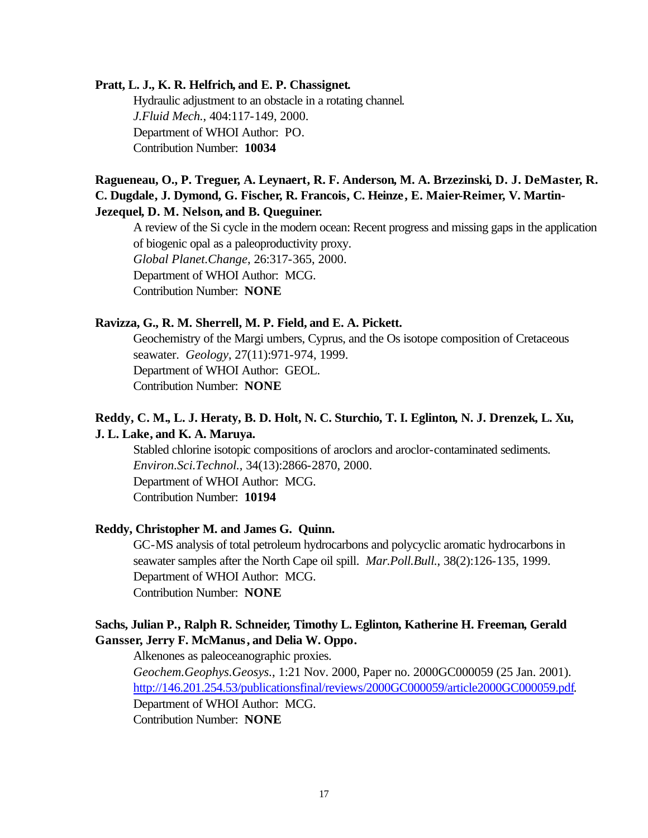### **Pratt, L. J., K. R. Helfrich, and E. P. Chassignet.**

Hydraulic adjustment to an obstacle in a rotating channel. *J.Fluid Mech.*, 404:117-149, 2000. Department of WHOI Author: PO. Contribution Number: **10034**

# **Ragueneau, O., P. Treguer, A. Leynaert, R. F. Anderson, M. A. Brzezinski, D. J. DeMaster, R. C. Dugdale, J. Dymond, G. Fischer, R. Francois, C. Heinze, E. Maier-Reimer, V. Martin-Jezequel, D. M. Nelson, and B. Queguiner.**

A review of the Si cycle in the modern ocean: Recent progress and missing gaps in the application of biogenic opal as a paleoproductivity proxy. *Global Planet.Change*, 26:317-365, 2000. Department of WHOI Author: MCG. Contribution Number: **NONE**

### **Ravizza, G., R. M. Sherrell, M. P. Field, and E. A. Pickett.**

Geochemistry of the Margi umbers, Cyprus, and the Os isotope composition of Cretaceous seawater. *Geology*, 27(11):971-974, 1999. Department of WHOI Author: GEOL. Contribution Number: **NONE**

# **Reddy, C. M., L. J. Heraty, B. D. Holt, N. C. Sturchio, T. I. Eglinton, N. J. Drenzek, L. Xu, J. L. Lake, and K. A. Maruya.**

Stabled chlorine isotopic compositions of aroclors and aroclor-contaminated sediments. *Environ.Sci.Technol.*, 34(13):2866-2870, 2000. Department of WHOI Author: MCG. Contribution Number: **10194**

### **Reddy, Christopher M. and James G. Quinn.**

GC-MS analysis of total petroleum hydrocarbons and polycyclic aromatic hydrocarbons in seawater samples after the North Cape oil spill. *Mar.Poll.Bull.*, 38(2):126-135, 1999. Department of WHOI Author: MCG. Contribution Number: **NONE**

### **Sachs, Julian P., Ralph R. Schneider, Timothy L. Eglinton, Katherine H. Freeman, Gerald Gansser, Jerry F. McManus, and Delia W. Oppo.**

Alkenones as paleoceanographic proxies.

*Geochem.Geophys.Geosys.*, 1:21 Nov. 2000, Paper no. 2000GC000059 (25 Jan. 2001). http://146.201.254.53/publicationsfinal/reviews/2000GC000059/article2000GC000059.pdf. Department of WHOI Author: MCG. Contribution Number: **NONE**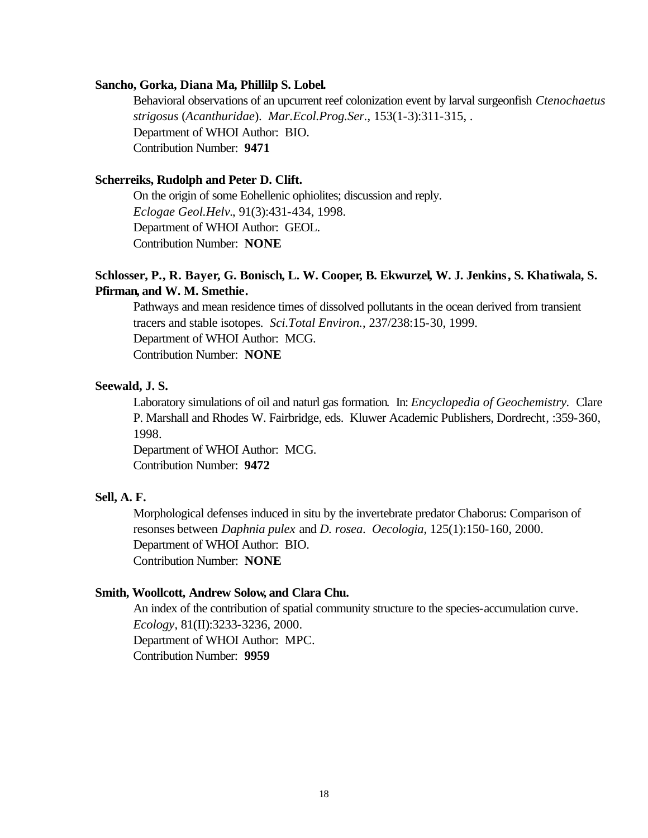#### **Sancho, Gorka, Diana Ma, Phillilp S. Lobel.**

Behavioral observations of an upcurrent reef colonization event by larval surgeonfish *Ctenochaetus strigosus* (*Acanthuridae*). *Mar.Ecol.Prog.Ser.*, 153(1-3):311-315, . Department of WHOI Author: BIO. Contribution Number: **9471**

### **Scherreiks, Rudolph and Peter D. Clift.**

On the origin of some Eohellenic ophiolites; discussion and reply. *Eclogae Geol.Helv.*, 91(3):431-434, 1998. Department of WHOI Author: GEOL. Contribution Number: **NONE**

## **Schlosser, P., R. Bayer, G. Bonisch, L. W. Cooper, B. Ekwurzel, W. J. Jenkins, S. Khatiwala, S. Pfirman, and W. M. Smethie.**

Pathways and mean residence times of dissolved pollutants in the ocean derived from transient tracers and stable isotopes. *Sci.Total Environ.*, 237/238:15-30, 1999. Department of WHOI Author: MCG. Contribution Number: **NONE**

### **Seewald, J. S.**

Laboratory simulations of oil and naturl gas formation. In: *Encyclopedia of Geochemistry.* Clare P. Marshall and Rhodes W. Fairbridge, eds. Kluwer Academic Publishers, Dordrecht, :359-360, 1998.

Department of WHOI Author: MCG. Contribution Number: **9472**

### **Sell, A. F.**

Morphological defenses induced in situ by the invertebrate predator Chaborus: Comparison of resonses between *Daphnia pulex* and *D. rosea*. *Oecologia*, 125(1):150-160, 2000. Department of WHOI Author: BIO. Contribution Number: **NONE**

### **Smith, Woollcott, Andrew Solow, and Clara Chu.**

An index of the contribution of spatial community structure to the species-accumulation curve. *Ecology*, 81(II):3233-3236, 2000. Department of WHOI Author: MPC. Contribution Number: **9959**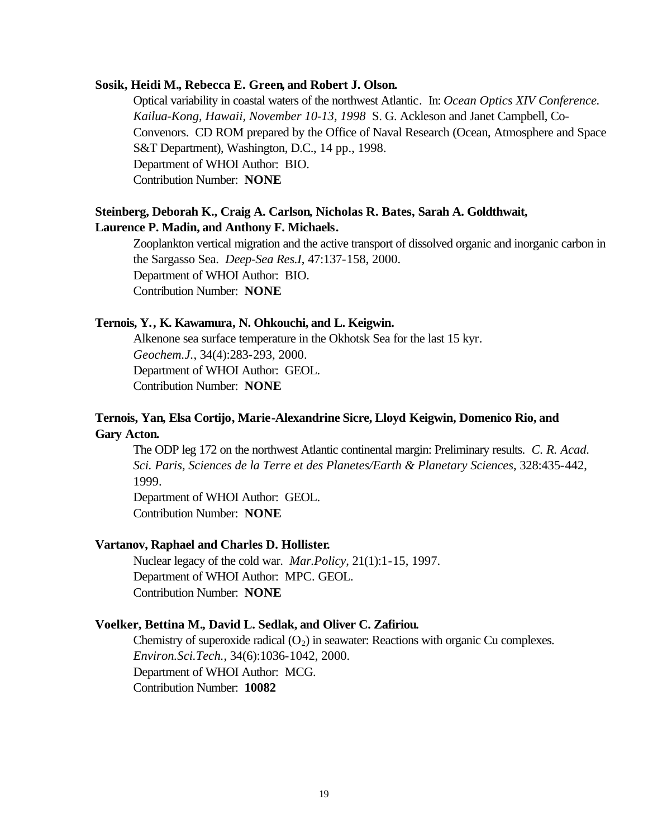#### **Sosik, Heidi M., Rebecca E. Green, and Robert J. Olson.**

Optical variability in coastal waters of the northwest Atlantic. In: *Ocean Optics XIV Conference. Kailua-Kong, Hawaii, November 10-13, 1998* S. G. Ackleson and Janet Campbell, Co-Convenors. CD ROM prepared by the Office of Naval Research (Ocean, Atmosphere and Space S&T Department), Washington, D.C., 14 pp., 1998. Department of WHOI Author: BIO. Contribution Number: **NONE**

### **Steinberg, Deborah K., Craig A. Carlson, Nicholas R. Bates, Sarah A. Goldthwait, Laurence P. Madin, and Anthony F. Michaels.**

Zooplankton vertical migration and the active transport of dissolved organic and inorganic carbon in the Sargasso Sea. *Deep-Sea Res.I*, 47:137-158, 2000. Department of WHOI Author: BIO. Contribution Number: **NONE**

### **Ternois, Y., K. Kawamura, N. Ohkouchi, and L. Keigwin.**

Alkenone sea surface temperature in the Okhotsk Sea for the last 15 kyr. *Geochem.J.*, 34(4):283-293, 2000. Department of WHOI Author: GEOL. Contribution Number: **NONE**

# **Ternois, Yan, Elsa Cortijo, Marie-Alexandrine Sicre, Lloyd Keigwin, Domenico Rio, and Gary Acton.**

The ODP leg 172 on the northwest Atlantic continental margin: Preliminary results. *C. R. Acad. Sci. Paris, Sciences de la Terre et des Planetes/Earth & Planetary Sciences*, 328:435-442, 1999.

Department of WHOI Author: GEOL. Contribution Number: **NONE**

#### **Vartanov, Raphael and Charles D. Hollister.**

Nuclear legacy of the cold war. *Mar.Policy*, 21(1):1-15, 1997. Department of WHOI Author: MPC. GEOL. Contribution Number: **NONE**

#### **Voelker, Bettina M., David L. Sedlak, and Oliver C. Zafiriou.**

Chemistry of superoxide radical  $(O_2)$  in seawater: Reactions with organic Cu complexes. *Environ.Sci.Tech.*, 34(6):1036-1042, 2000. Department of WHOI Author: MCG. Contribution Number: **10082**